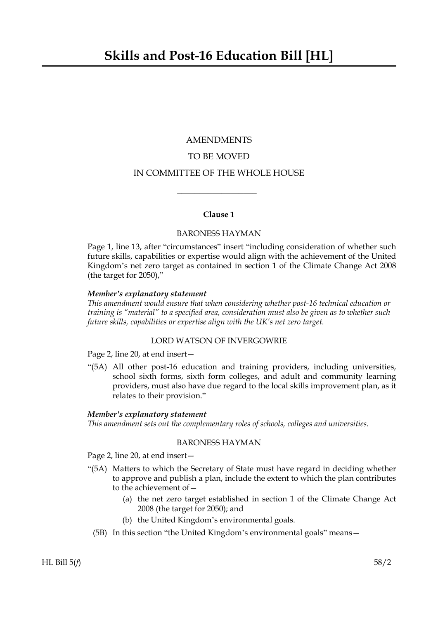# AMENDMENTS TO BE MOVED

# IN COMMITTEE OF THE WHOLE HOUSE

 $\overline{\phantom{a}}$  , where  $\overline{\phantom{a}}$ 

# **Clause 1**

# BARONESS HAYMAN

Page 1, line 13, after "circumstances" insert "including consideration of whether such future skills, capabilities or expertise would align with the achievement of the United Kingdom's net zero target as contained in section 1 of the Climate Change Act 2008 (the target for 2050),"

# *Member's explanatory statement*

*This amendment would ensure that when considering whether post-16 technical education or training is "material" to a specified area, consideration must also be given as to whether such future skills, capabilities or expertise align with the UK's net zero target.*

# LORD WATSON OF INVERGOWRIE

Page 2, line 20, at end insert—

"(5A) All other post-16 education and training providers, including universities, school sixth forms, sixth form colleges, and adult and community learning providers, must also have due regard to the local skills improvement plan, as it relates to their provision."

# *Member's explanatory statement*

*This amendment sets out the complementary roles of schools, colleges and universities.*

# BARONESS HAYMAN

Page 2, line 20, at end insert—

- "(5A) Matters to which the Secretary of State must have regard in deciding whether to approve and publish a plan, include the extent to which the plan contributes to the achievement of—
	- (a) the net zero target established in section 1 of the Climate Change Act 2008 (the target for 2050); and
	- (b) the United Kingdom's environmental goals.
	- (5B) In this section "the United Kingdom's environmental goals" means—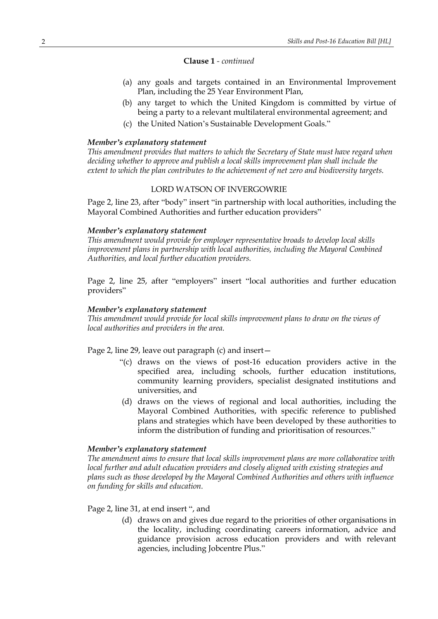# **Clause 1** *- continued*

- (a) any goals and targets contained in an Environmental Improvement Plan, including the 25 Year Environment Plan,
- (b) any target to which the United Kingdom is committed by virtue of being a party to a relevant multilateral environmental agreement; and
- (c) the United Nation's Sustainable Development Goals."

# *Member's explanatory statement*

*This amendment provides that matters to which the Secretary of State must have regard when deciding whether to approve and publish a local skills improvement plan shall include the extent to which the plan contributes to the achievement of net zero and biodiversity targets.*

# LORD WATSON OF INVERGOWRIE

Page 2, line 23, after "body" insert "in partnership with local authorities, including the Mayoral Combined Authorities and further education providers"

# *Member's explanatory statement*

*This amendment would provide for employer representative broads to develop local skills improvement plans in partnership with local authorities, including the Mayoral Combined Authorities, and local further education providers.*

Page 2, line 25, after "employers" insert "local authorities and further education providers"

### *Member's explanatory statement*

*This amendment would provide for local skills improvement plans to draw on the views of local authorities and providers in the area.*

Page 2, line 29, leave out paragraph (c) and insert—

- "(c) draws on the views of post-16 education providers active in the specified area, including schools, further education institutions, community learning providers, specialist designated institutions and universities, and
- (d) draws on the views of regional and local authorities, including the Mayoral Combined Authorities, with specific reference to published plans and strategies which have been developed by these authorities to inform the distribution of funding and prioritisation of resources."

# *Member's explanatory statement*

*The amendment aims to ensure that local skills improvement plans are more collaborative with local further and adult education providers and closely aligned with existing strategies and plans such as those developed by the Mayoral Combined Authorities and others with influence on funding for skills and education.*

# Page 2, line 31, at end insert ", and

(d) draws on and gives due regard to the priorities of other organisations in the locality, including coordinating careers information, advice and guidance provision across education providers and with relevant agencies, including Jobcentre Plus."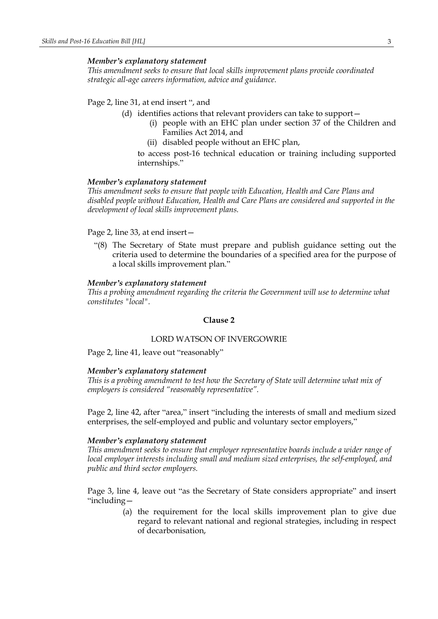### *Member's explanatory statement*

*This amendment seeks to ensure that local skills improvement plans provide coordinated strategic all-age careers information, advice and guidance.*

# Page 2, line 31, at end insert ", and

(d) identifies actions that relevant providers can take to support—

- (i) people with an EHC plan under section 37 of the Children and Families Act 2014, and
- (ii) disabled people without an EHC plan,

to access post-16 technical education or training including supported internships."

### *Member's explanatory statement*

*This amendment seeks to ensure that people with Education, Health and Care Plans and disabled people without Education, Health and Care Plans are considered and supported in the development of local skills improvement plans.*

#### Page 2, line 33, at end insert—

"(8) The Secretary of State must prepare and publish guidance setting out the criteria used to determine the boundaries of a specified area for the purpose of a local skills improvement plan."

#### *Member's explanatory statement*

*This a probing amendment regarding the criteria the Government will use to determine what constitutes "local".*

# **Clause 2**

### LORD WATSON OF INVERGOWRIE

Page 2, line 41, leave out "reasonably"

#### *Member's explanatory statement*

*This is a probing amendment to test how the Secretary of State will determine what mix of employers is considered "reasonably representative".*

Page 2, line 42, after "area," insert "including the interests of small and medium sized enterprises, the self-employed and public and voluntary sector employers,"

### *Member's explanatory statement*

*This amendment seeks to ensure that employer representative boards include a wider range of local employer interests including small and medium sized enterprises, the self-employed, and public and third sector employers.*

Page 3, line 4, leave out "as the Secretary of State considers appropriate" and insert "including—

> (a) the requirement for the local skills improvement plan to give due regard to relevant national and regional strategies, including in respect of decarbonisation,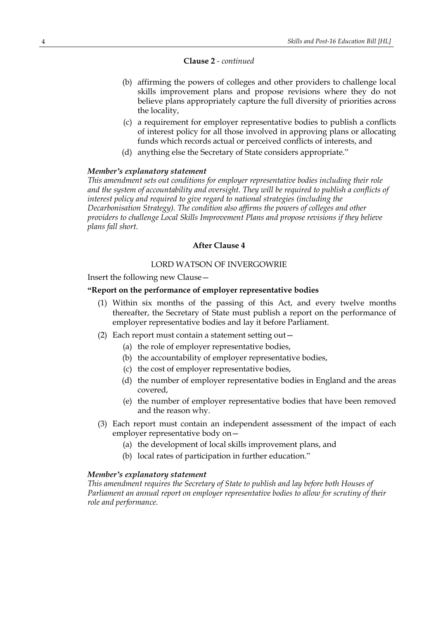### **Clause 2** *- continued*

- (b) affirming the powers of colleges and other providers to challenge local skills improvement plans and propose revisions where they do not believe plans appropriately capture the full diversity of priorities across the locality,
- (c) a requirement for employer representative bodies to publish a conflicts of interest policy for all those involved in approving plans or allocating funds which records actual or perceived conflicts of interests, and
- (d) anything else the Secretary of State considers appropriate."

### *Member's explanatory statement*

*This amendment sets out conditions for employer representative bodies including their role and the system of accountability and oversight. They will be required to publish a conflicts of interest policy and required to give regard to national strategies (including the Decarbonisation Strategy). The condition also affirms the powers of colleges and other providers to challenge Local Skills Improvement Plans and propose revisions if they believe plans fall short.*

# **After Clause 4**

# LORD WATSON OF INVERGOWRIE

Insert the following new Clause—

### **"Report on the performance of employer representative bodies**

- (1) Within six months of the passing of this Act, and every twelve months thereafter, the Secretary of State must publish a report on the performance of employer representative bodies and lay it before Parliament.
- (2) Each report must contain a statement setting out—
	- (a) the role of employer representative bodies,
	- (b) the accountability of employer representative bodies,
	- (c) the cost of employer representative bodies,
	- (d) the number of employer representative bodies in England and the areas covered,
	- (e) the number of employer representative bodies that have been removed and the reason why.
- (3) Each report must contain an independent assessment of the impact of each employer representative body on—
	- (a) the development of local skills improvement plans, and
	- (b) local rates of participation in further education."

# *Member's explanatory statement*

*This amendment requires the Secretary of State to publish and lay before both Houses of Parliament an annual report on employer representative bodies to allow for scrutiny of their role and performance.*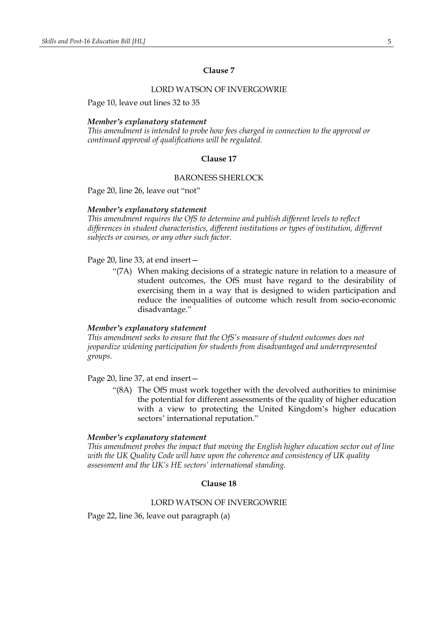# **Clause 7**

# LORD WATSON OF INVERGOWRIE

Page 10, leave out lines 32 to 35

#### *Member's explanatory statement*

*This amendment is intended to probe how fees charged in connection to the approval or continued approval of qualifications will be regulated.*

### **Clause 17**

### BARONESS SHERLOCK

Page 20, line 26, leave out "not"

#### *Member's explanatory statement*

*This amendment requires the OfS to determine and publish different levels to reflect differences in student characteristics, different institutions or types of institution, different subjects or courses, or any other such factor.*

Page 20, line 33, at end insert—

"(7A) When making decisions of a strategic nature in relation to a measure of student outcomes, the OfS must have regard to the desirability of exercising them in a way that is designed to widen participation and reduce the inequalities of outcome which result from socio-economic disadvantage."

### *Member's explanatory statement*

*This amendment seeks to ensure that the OfS's measure of student outcomes does not jeopardize widening participation for students from disadvantaged and underrepresented groups.*

Page 20, line 37, at end insert—

"(8A) The OfS must work together with the devolved authorities to minimise the potential for different assessments of the quality of higher education with a view to protecting the United Kingdom's higher education sectors' international reputation."

### *Member's explanatory statement*

*This amendment probes the impact that moving the English higher education sector out of line with the UK Quality Code will have upon the coherence and consistency of UK quality assessment and the UK's HE sectors' international standing.*

# **Clause 18**

# LORD WATSON OF INVERGOWRIE

Page 22, line 36, leave out paragraph (a)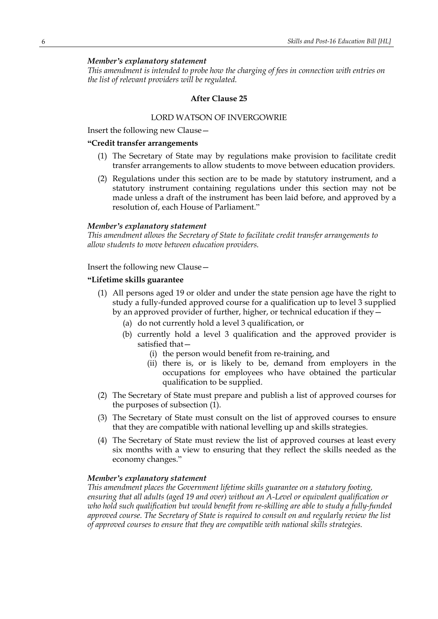# *Member's explanatory statement*

*This amendment is intended to probe how the charging of fees in connection with entries on the list of relevant providers will be regulated.*

#### **After Clause 25**

# LORD WATSON OF INVERGOWRIE

Insert the following new Clause—

# **"Credit transfer arrangements**

- (1) The Secretary of State may by regulations make provision to facilitate credit transfer arrangements to allow students to move between education providers.
- (2) Regulations under this section are to be made by statutory instrument, and a statutory instrument containing regulations under this section may not be made unless a draft of the instrument has been laid before, and approved by a resolution of, each House of Parliament."

#### *Member's explanatory statement*

*This amendment allows the Secretary of State to facilitate credit transfer arrangements to allow students to move between education providers.*

Insert the following new Clause—

# **"Lifetime skills guarantee**

- (1) All persons aged 19 or older and under the state pension age have the right to study a fully-funded approved course for a qualification up to level 3 supplied by an approved provider of further, higher, or technical education if they—
	- (a) do not currently hold a level 3 qualification, or
	- (b) currently hold a level 3 qualification and the approved provider is satisfied that—
		- (i) the person would benefit from re-training, and
		- (ii) there is, or is likely to be, demand from employers in the occupations for employees who have obtained the particular qualification to be supplied.
- (2) The Secretary of State must prepare and publish a list of approved courses for the purposes of subsection (1).
- (3) The Secretary of State must consult on the list of approved courses to ensure that they are compatible with national levelling up and skills strategies.
- (4) The Secretary of State must review the list of approved courses at least every six months with a view to ensuring that they reflect the skills needed as the economy changes."

### *Member's explanatory statement*

*This amendment places the Government lifetime skills guarantee on a statutory footing, ensuring that all adults (aged 19 and over) without an A-Level or equivalent qualification or who hold such qualification but would benefit from re-skilling are able to study a fully-funded approved course. The Secretary of State is required to consult on and regularly review the list of approved courses to ensure that they are compatible with national skills strategies.*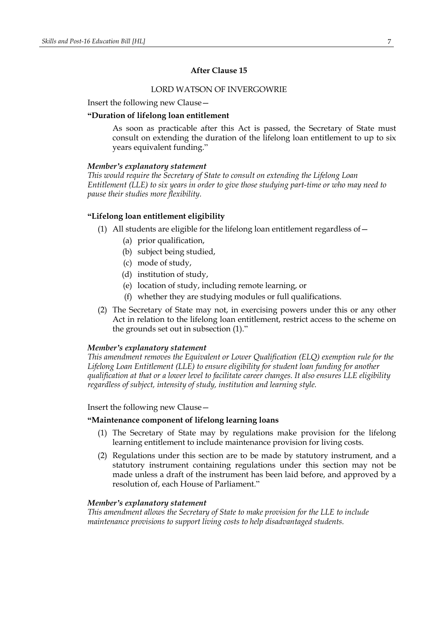# **After Clause 15**

# LORD WATSON OF INVERGOWRIE

Insert the following new Clause—

### **"Duration of lifelong loan entitlement**

As soon as practicable after this Act is passed, the Secretary of State must consult on extending the duration of the lifelong loan entitlement to up to six years equivalent funding."

# *Member's explanatory statement*

*This would require the Secretary of State to consult on extending the Lifelong Loan Entitlement (LLE) to six years in order to give those studying part-time or who may need to pause their studies more flexibility.*

# **"Lifelong loan entitlement eligibility**

- (1) All students are eligible for the lifelong loan entitlement regardless of—
	- (a) prior qualification,
	- (b) subject being studied,
	- (c) mode of study,
	- (d) institution of study,
	- (e) location of study, including remote learning, or
	- (f) whether they are studying modules or full qualifications.
- (2) The Secretary of State may not, in exercising powers under this or any other Act in relation to the lifelong loan entitlement, restrict access to the scheme on the grounds set out in subsection (1)."

#### *Member's explanatory statement*

*This amendment removes the Equivalent or Lower Qualification (ELQ) exemption rule for the Lifelong Loan Entitlement (LLE) to ensure eligibility for student loan funding for another qualification at that or a lower level to facilitate career changes. It also ensures LLE eligibility regardless of subject, intensity of study, institution and learning style.*

# Insert the following new Clause—

# **"Maintenance component of lifelong learning loans**

- (1) The Secretary of State may by regulations make provision for the lifelong learning entitlement to include maintenance provision for living costs.
- (2) Regulations under this section are to be made by statutory instrument, and a statutory instrument containing regulations under this section may not be made unless a draft of the instrument has been laid before, and approved by a resolution of, each House of Parliament."

### *Member's explanatory statement*

*This amendment allows the Secretary of State to make provision for the LLE to include maintenance provisions to support living costs to help disadvantaged students.*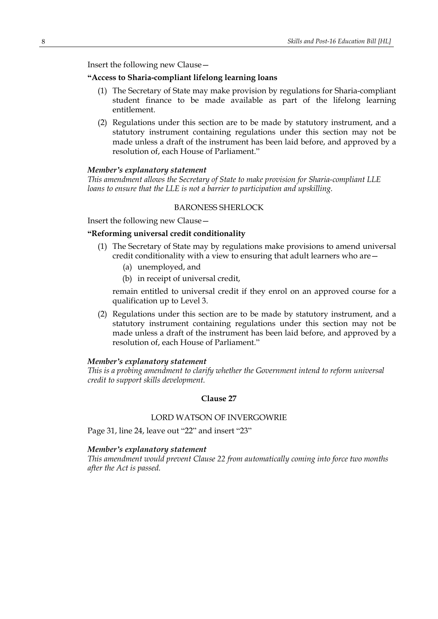Insert the following new Clause—

# **"Access to Sharia-compliant lifelong learning loans**

- (1) The Secretary of State may make provision by regulations for Sharia-compliant student finance to be made available as part of the lifelong learning entitlement.
- (2) Regulations under this section are to be made by statutory instrument, and a statutory instrument containing regulations under this section may not be made unless a draft of the instrument has been laid before, and approved by a resolution of, each House of Parliament."

### *Member's explanatory statement*

*This amendment allows the Secretary of State to make provision for Sharia-compliant LLE loans to ensure that the LLE is not a barrier to participation and upskilling.*

## BARONESS SHERLOCK

Insert the following new Clause—

# **"Reforming universal credit conditionality**

- (1) The Secretary of State may by regulations make provisions to amend universal credit conditionality with a view to ensuring that adult learners who are—
	- (a) unemployed, and
	- (b) in receipt of universal credit,

remain entitled to universal credit if they enrol on an approved course for a qualification up to Level 3.

(2) Regulations under this section are to be made by statutory instrument, and a statutory instrument containing regulations under this section may not be made unless a draft of the instrument has been laid before, and approved by a resolution of, each House of Parliament."

### *Member's explanatory statement*

*This is a probing amendment to clarify whether the Government intend to reform universal credit to support skills development.*

# **Clause 27**

# LORD WATSON OF INVERGOWRIE

Page 31, line 24, leave out "22" and insert "23"

# *Member's explanatory statement*

*This amendment would prevent Clause 22 from automatically coming into force two months after the Act is passed.*